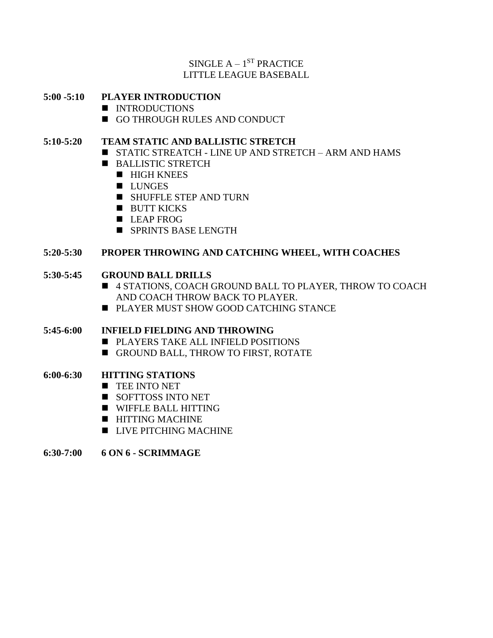# $SINGLE A - 1^{ST} PRACTICE$ LITTLE LEAGUE BASEBALL

## **5:00 -5:10 PLAYER INTRODUCTION**

- INTRODUCTIONS
- GO THROUGH RULES AND CONDUCT

## **5:10-5:20 TEAM STATIC AND BALLISTIC STRETCH**

- STATIC STREATCH LINE UP AND STRETCH ARM AND HAMS
- BALLISTIC STRETCH
	- HIGH KNEES
	- LUNGES
	- SHUFFLE STEP AND TURN
	- BUTT KICKS
	- LEAP FROG
	- SPRINTS BASE LENGTH

#### **5:20-5:30 PROPER THROWING AND CATCHING WHEEL, WITH COACHES**

#### **5:30-5:45 GROUND BALL DRILLS**

- 4 STATIONS, COACH GROUND BALL TO PLAYER, THROW TO COACH AND COACH THROW BACK TO PLAYER.
- PLAYER MUST SHOW GOOD CATCHING STANCE

#### **5:45-6:00 INFIELD FIELDING AND THROWING**

- PLAYERS TAKE ALL INFIELD POSITIONS
- GROUND BALL, THROW TO FIRST, ROTATE

#### **6:00-6:30 HITTING STATIONS**

- TEE INTO NET
- SOFTTOSS INTO NET
- WIFFLE BALL HITTING
- HITTING MACHINE
- LIVE PITCHING MACHINE
- **6:30-7:00 6 ON 6 - SCRIMMAGE**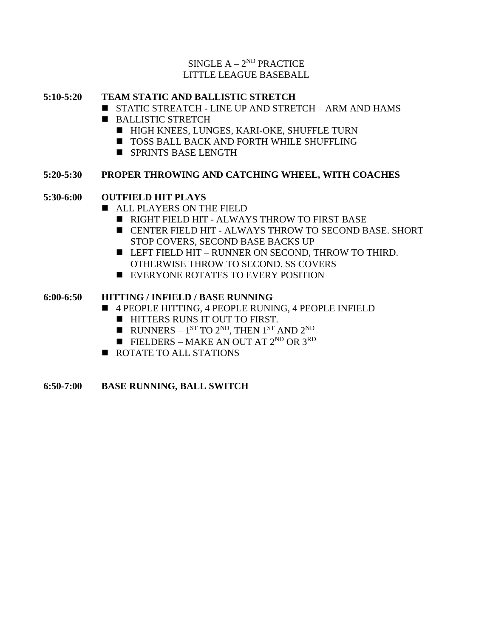## $SINGLE A - 2^{ND} PRACTICE$ LITTLE LEAGUE BASEBALL

## **5:10-5:20 TEAM STATIC AND BALLISTIC STRETCH**

- STATIC STREATCH LINE UP AND STRETCH ARM AND HAMS
- BALLISTIC STRETCH
	- HIGH KNEES, LUNGES, KARI-OKE, SHUFFLE TURN
	- TOSS BALL BACK AND FORTH WHILE SHUFFLING
	- SPRINTS BASE LENGTH

# **5:20-5:30 PROPER THROWING AND CATCHING WHEEL, WITH COACHES**

# **5:30-6:00 OUTFIELD HIT PLAYS**

- ALL PLAYERS ON THE FIELD
	- RIGHT FIELD HIT ALWAYS THROW TO FIRST BASE
	- CENTER FIELD HIT ALWAYS THROW TO SECOND BASE. SHORT STOP COVERS, SECOND BASE BACKS UP
	- LEFT FIELD HIT RUNNER ON SECOND, THROW TO THIRD. OTHERWISE THROW TO SECOND. SS COVERS
	- EVERYONE ROTATES TO EVERY POSITION

# **6:00-6:50 HITTING / INFIELD / BASE RUNNING**

- 4 PEOPLE HITTING, 4 PEOPLE RUNING, 4 PEOPLE INFIELD
	- HITTERS RUNS IT OUT TO FIRST.
	- $\blacksquare$  RUNNERS 1<sup>ST</sup> TO 2<sup>ND</sup>, THEN 1<sup>ST</sup> AND 2<sup>ND</sup>
	- $\blacksquare$  FIELDERS MAKE AN OUT AT 2<sup>ND</sup> OR 3<sup>RD</sup>
- ROTATE TO ALL STATIONS

#### **6:50-7:00 BASE RUNNING, BALL SWITCH**